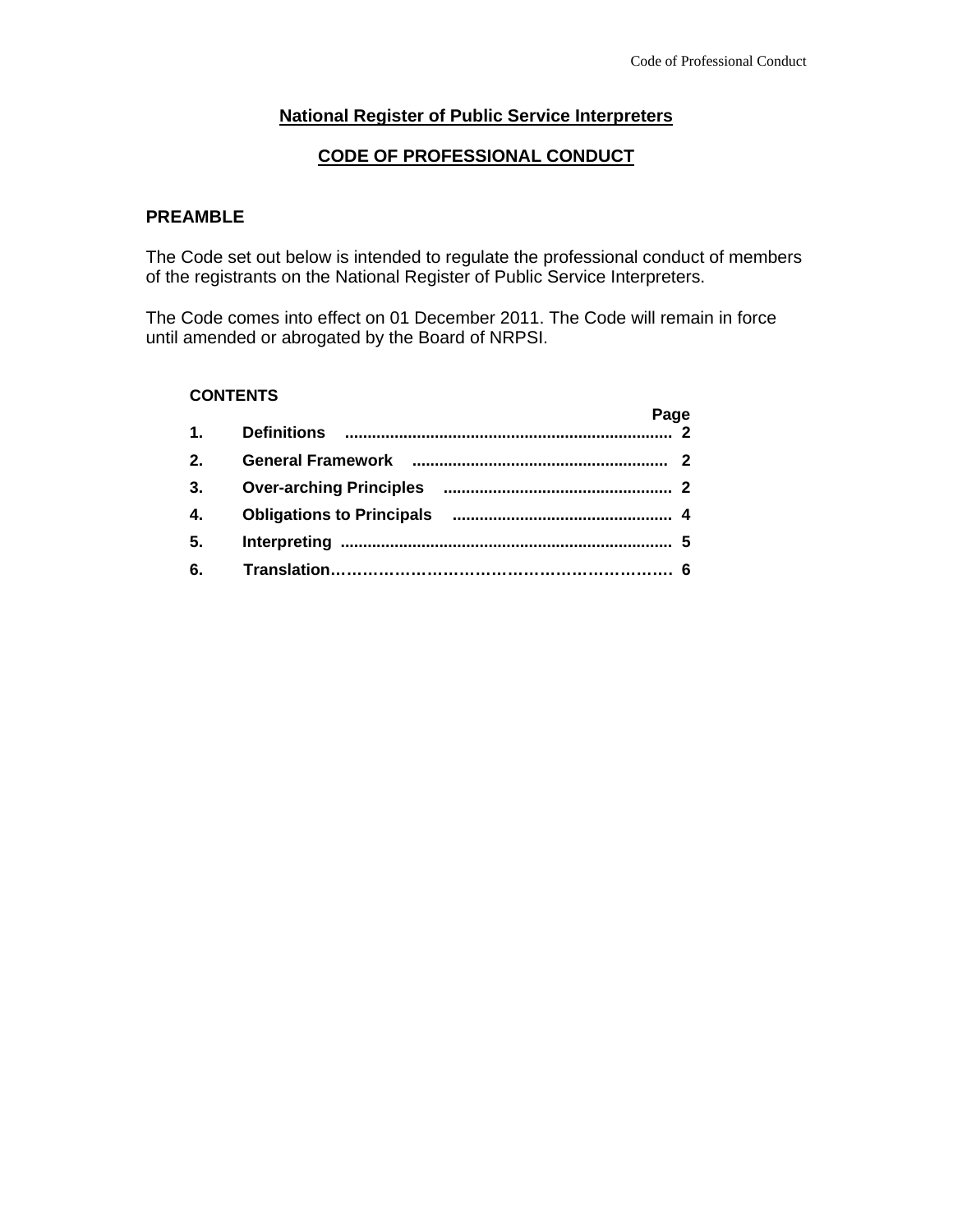# **National Register of Public Service Interpreters**

### **CODE OF PROFESSIONAL CONDUCT**

## **PREAMBLE**

The Code set out below is intended to regulate the professional conduct of members of the registrants on the National Register of Public Service Interpreters.

The Code comes into effect on 01 December 2011. The Code will remain in force until amended or abrogated by the Board of NRPSI.

### **CONTENTS**

| <b>Definitions</b><br>1.<br><b>General Framework</b><br>$2_{-}$<br><b>Over-arching Principles</b><br>3.<br>4.<br>5.<br>6. |  | Page |  |
|---------------------------------------------------------------------------------------------------------------------------|--|------|--|
|                                                                                                                           |  |      |  |
|                                                                                                                           |  |      |  |
|                                                                                                                           |  |      |  |
|                                                                                                                           |  |      |  |
|                                                                                                                           |  |      |  |
|                                                                                                                           |  |      |  |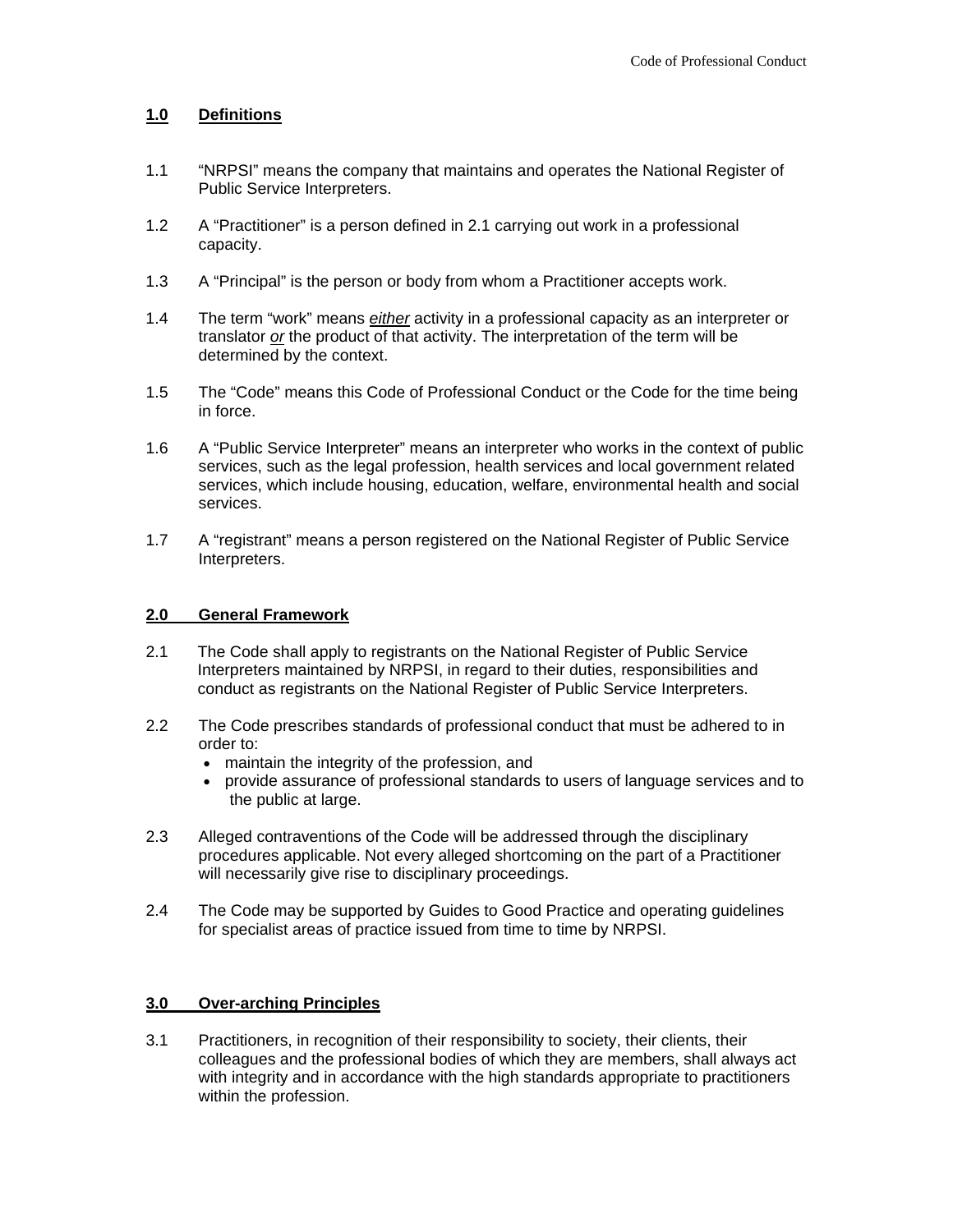### **1.0 Definitions**

- 1.1 "NRPSI" means the company that maintains and operates the National Register of Public Service Interpreters.
- 1.2 A "Practitioner" is a person defined in 2.1 carrying out work in a professional capacity.
- 1.3 A "Principal" is the person or body from whom a Practitioner accepts work.
- 1.4 The term "work" means *either* activity in a professional capacity as an interpreter or translator *or* the product of that activity. The interpretation of the term will be determined by the context.
- 1.5 The "Code" means this Code of Professional Conduct or the Code for the time being in force.
- 1.6 A "Public Service Interpreter" means an interpreter who works in the context of public services, such as the legal profession, health services and local government related services, which include housing, education, welfare, environmental health and social services.
- 1.7 A "registrant" means a person registered on the National Register of Public Service Interpreters.

#### **2.0 General Framework**

- 2.1 The Code shall apply to registrants on the National Register of Public Service Interpreters maintained by NRPSI, in regard to their duties, responsibilities and conduct as registrants on the National Register of Public Service Interpreters.
- 2.2 The Code prescribes standards of professional conduct that must be adhered to in order to:
	- maintain the integrity of the profession, and
	- provide assurance of professional standards to users of language services and to the public at large.
- 2.3 Alleged contraventions of the Code will be addressed through the disciplinary procedures applicable. Not every alleged shortcoming on the part of a Practitioner will necessarily give rise to disciplinary proceedings.
- 2.4 The Code may be supported by Guides to Good Practice and operating guidelines for specialist areas of practice issued from time to time by NRPSI.

#### **3.0 Over-arching Principles**

3.1 Practitioners, in recognition of their responsibility to society, their clients, their colleagues and the professional bodies of which they are members, shall always act with integrity and in accordance with the high standards appropriate to practitioners within the profession.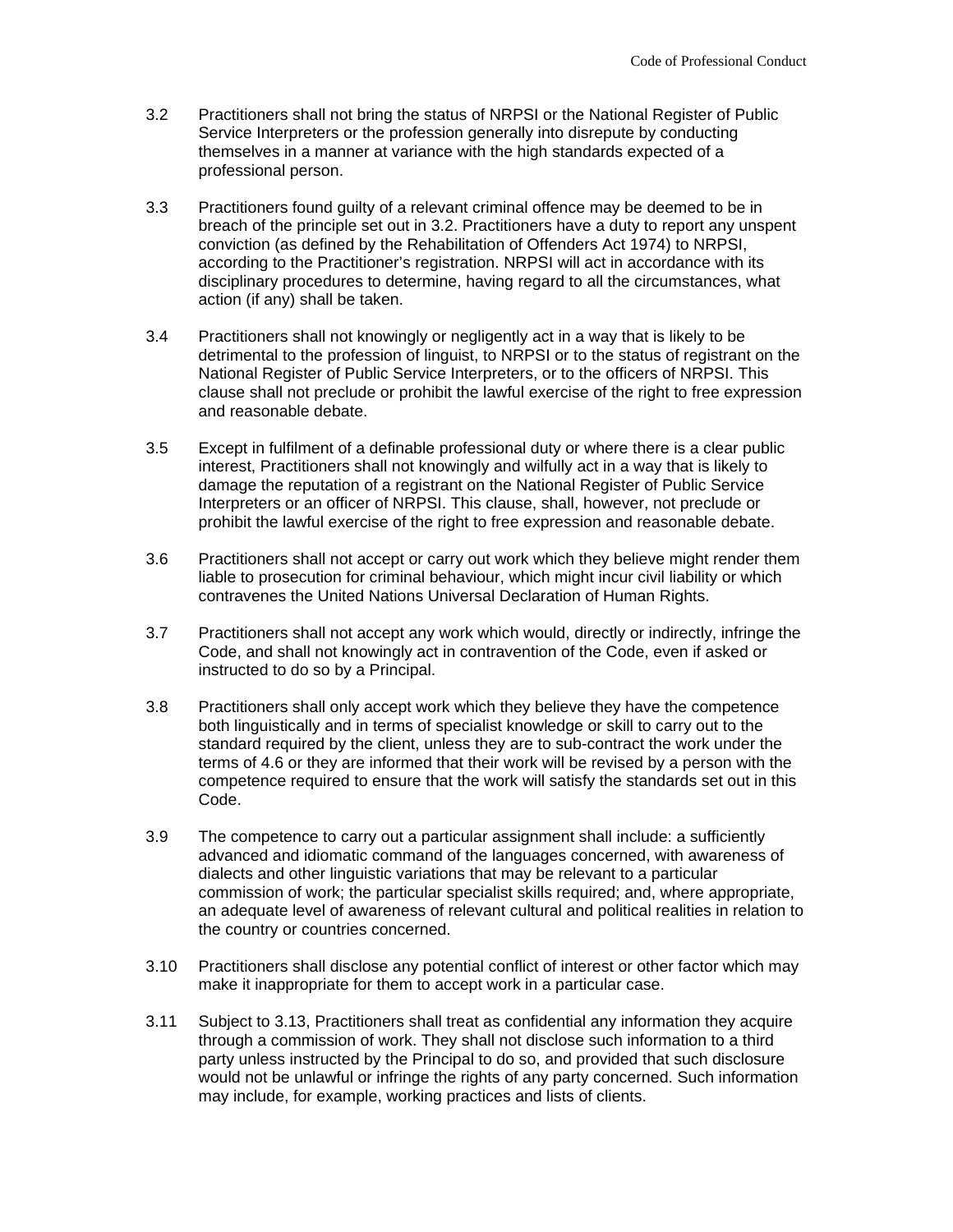- 3.2 Practitioners shall not bring the status of NRPSI or the National Register of Public Service Interpreters or the profession generally into disrepute by conducting themselves in a manner at variance with the high standards expected of a professional person.
- 3.3 Practitioners found guilty of a relevant criminal offence may be deemed to be in breach of the principle set out in 3.2. Practitioners have a duty to report any unspent conviction (as defined by the Rehabilitation of Offenders Act 1974) to NRPSI, according to the Practitioner's registration. NRPSI will act in accordance with its disciplinary procedures to determine, having regard to all the circumstances, what action (if any) shall be taken.
- 3.4 Practitioners shall not knowingly or negligently act in a way that is likely to be detrimental to the profession of linguist, to NRPSI or to the status of registrant on the National Register of Public Service Interpreters, or to the officers of NRPSI. This clause shall not preclude or prohibit the lawful exercise of the right to free expression and reasonable debate.
- 3.5 Except in fulfilment of a definable professional duty or where there is a clear public interest, Practitioners shall not knowingly and wilfully act in a way that is likely to damage the reputation of a registrant on the National Register of Public Service Interpreters or an officer of NRPSI. This clause, shall, however, not preclude or prohibit the lawful exercise of the right to free expression and reasonable debate.
- 3.6 Practitioners shall not accept or carry out work which they believe might render them liable to prosecution for criminal behaviour, which might incur civil liability or which contravenes the United Nations Universal Declaration of Human Rights.
- 3.7 Practitioners shall not accept any work which would, directly or indirectly, infringe the Code, and shall not knowingly act in contravention of the Code, even if asked or instructed to do so by a Principal.
- 3.8 Practitioners shall only accept work which they believe they have the competence both linguistically and in terms of specialist knowledge or skill to carry out to the standard required by the client, unless they are to sub-contract the work under the terms of 4.6 or they are informed that their work will be revised by a person with the competence required to ensure that the work will satisfy the standards set out in this Code.
- 3.9 The competence to carry out a particular assignment shall include: a sufficiently advanced and idiomatic command of the languages concerned, with awareness of dialects and other linguistic variations that may be relevant to a particular commission of work; the particular specialist skills required; and, where appropriate, an adequate level of awareness of relevant cultural and political realities in relation to the country or countries concerned.
- 3.10 Practitioners shall disclose any potential conflict of interest or other factor which may make it inappropriate for them to accept work in a particular case.
- 3.11 Subject to 3.13, Practitioners shall treat as confidential any information they acquire through a commission of work. They shall not disclose such information to a third party unless instructed by the Principal to do so, and provided that such disclosure would not be unlawful or infringe the rights of any party concerned. Such information may include, for example, working practices and lists of clients.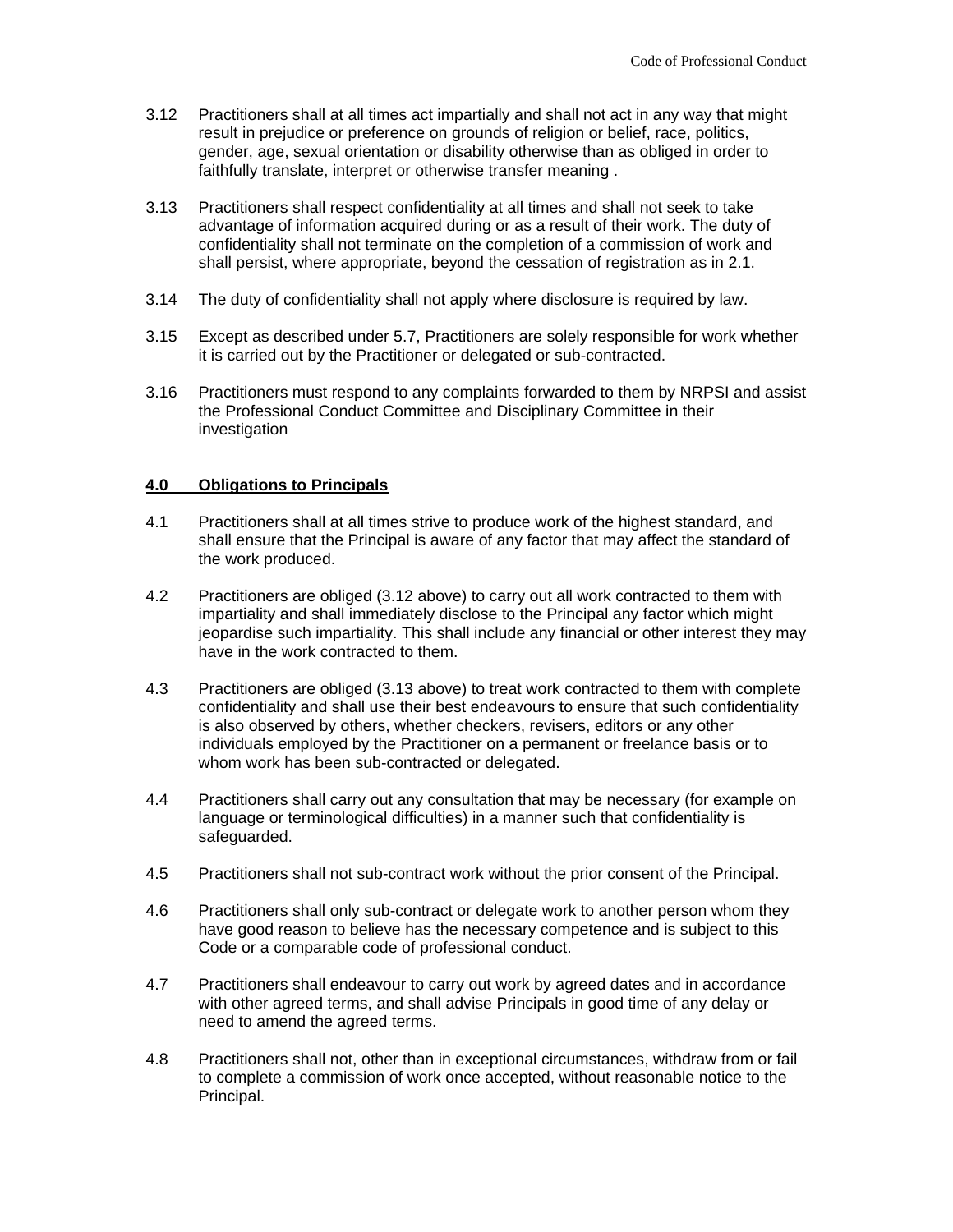- 3.12 Practitioners shall at all times act impartially and shall not act in any way that might result in prejudice or preference on grounds of religion or belief, race, politics, gender, age, sexual orientation or disability otherwise than as obliged in order to faithfully translate, interpret or otherwise transfer meaning .
- 3.13 Practitioners shall respect confidentiality at all times and shall not seek to take advantage of information acquired during or as a result of their work. The duty of confidentiality shall not terminate on the completion of a commission of work and shall persist, where appropriate, beyond the cessation of registration as in 2.1.
- 3.14 The duty of confidentiality shall not apply where disclosure is required by law.
- 3.15 Except as described under 5.7, Practitioners are solely responsible for work whether it is carried out by the Practitioner or delegated or sub-contracted.
- 3.16 Practitioners must respond to any complaints forwarded to them by NRPSI and assist the Professional Conduct Committee and Disciplinary Committee in their investigation

#### **4.0 Obligations to Principals**

- 4.1 Practitioners shall at all times strive to produce work of the highest standard, and shall ensure that the Principal is aware of any factor that may affect the standard of the work produced.
- 4.2 Practitioners are obliged (3.12 above) to carry out all work contracted to them with impartiality and shall immediately disclose to the Principal any factor which might jeopardise such impartiality. This shall include any financial or other interest they may have in the work contracted to them.
- 4.3 Practitioners are obliged (3.13 above) to treat work contracted to them with complete confidentiality and shall use their best endeavours to ensure that such confidentiality is also observed by others, whether checkers, revisers, editors or any other individuals employed by the Practitioner on a permanent or freelance basis or to whom work has been sub-contracted or delegated.
- 4.4 Practitioners shall carry out any consultation that may be necessary (for example on language or terminological difficulties) in a manner such that confidentiality is safeguarded.
- 4.5 Practitioners shall not sub-contract work without the prior consent of the Principal.
- 4.6 Practitioners shall only sub-contract or delegate work to another person whom they have good reason to believe has the necessary competence and is subject to this Code or a comparable code of professional conduct.
- 4.7 Practitioners shall endeavour to carry out work by agreed dates and in accordance with other agreed terms, and shall advise Principals in good time of any delay or need to amend the agreed terms.
- 4.8 Practitioners shall not, other than in exceptional circumstances, withdraw from or fail to complete a commission of work once accepted, without reasonable notice to the Principal.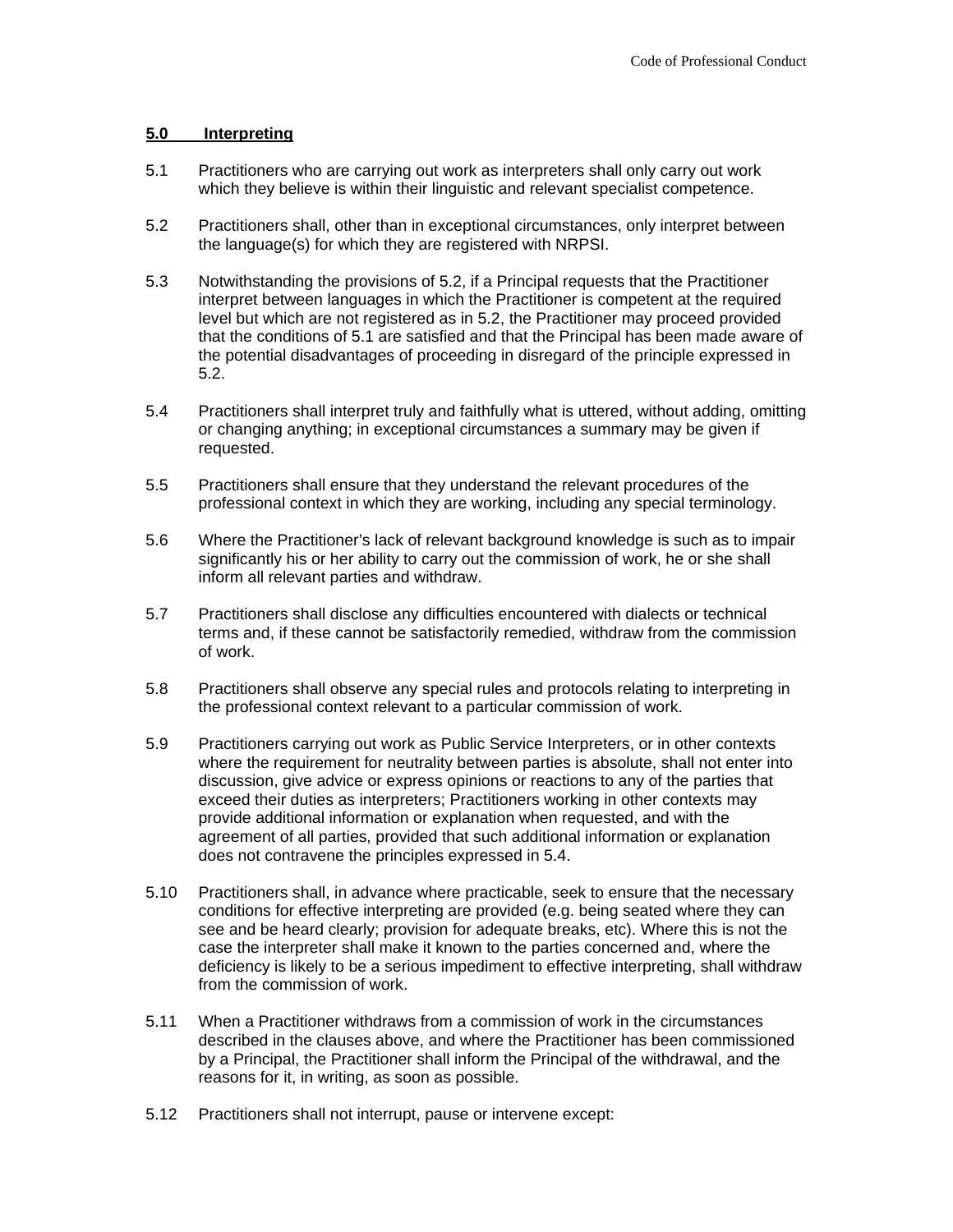#### **5.0 Interpreting**

- 5.1 Practitioners who are carrying out work as interpreters shall only carry out work which they believe is within their linguistic and relevant specialist competence.
- 5.2 Practitioners shall, other than in exceptional circumstances, only interpret between the language(s) for which they are registered with NRPSI.
- 5.3 Notwithstanding the provisions of 5.2, if a Principal requests that the Practitioner interpret between languages in which the Practitioner is competent at the required level but which are not registered as in 5.2, the Practitioner may proceed provided that the conditions of 5.1 are satisfied and that the Principal has been made aware of the potential disadvantages of proceeding in disregard of the principle expressed in 5.2.
- 5.4 Practitioners shall interpret truly and faithfully what is uttered, without adding, omitting or changing anything; in exceptional circumstances a summary may be given if requested.
- 5.5 Practitioners shall ensure that they understand the relevant procedures of the professional context in which they are working, including any special terminology.
- 5.6 Where the Practitioner's lack of relevant background knowledge is such as to impair significantly his or her ability to carry out the commission of work, he or she shall inform all relevant parties and withdraw.
- 5.7 Practitioners shall disclose any difficulties encountered with dialects or technical terms and, if these cannot be satisfactorily remedied, withdraw from the commission of work.
- 5.8 Practitioners shall observe any special rules and protocols relating to interpreting in the professional context relevant to a particular commission of work.
- 5.9 Practitioners carrying out work as Public Service Interpreters, or in other contexts where the requirement for neutrality between parties is absolute, shall not enter into discussion, give advice or express opinions or reactions to any of the parties that exceed their duties as interpreters; Practitioners working in other contexts may provide additional information or explanation when requested, and with the agreement of all parties, provided that such additional information or explanation does not contravene the principles expressed in 5.4.
- 5.10 Practitioners shall, in advance where practicable, seek to ensure that the necessary conditions for effective interpreting are provided (e.g. being seated where they can see and be heard clearly; provision for adequate breaks, etc). Where this is not the case the interpreter shall make it known to the parties concerned and, where the deficiency is likely to be a serious impediment to effective interpreting, shall withdraw from the commission of work.
- 5.11 When a Practitioner withdraws from a commission of work in the circumstances described in the clauses above, and where the Practitioner has been commissioned by a Principal, the Practitioner shall inform the Principal of the withdrawal, and the reasons for it, in writing, as soon as possible.
- 5.12 Practitioners shall not interrupt, pause or intervene except: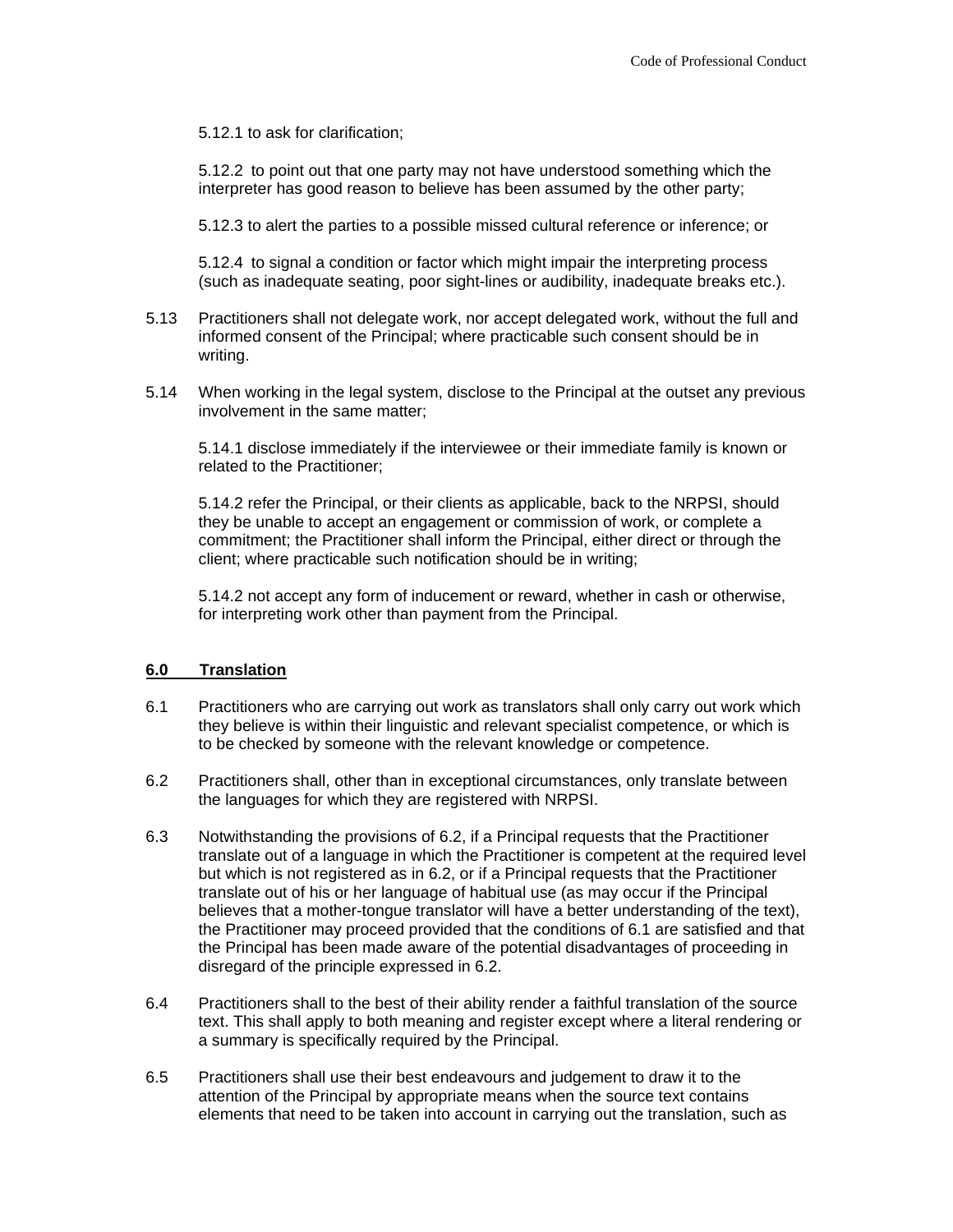5.12.1 to ask for clarification;

5.12.2 to point out that one party may not have understood something which the interpreter has good reason to believe has been assumed by the other party;

5.12.3 to alert the parties to a possible missed cultural reference or inference; or

5.12.4 to signal a condition or factor which might impair the interpreting process (such as inadequate seating, poor sight-lines or audibility, inadequate breaks etc.).

- 5.13 Practitioners shall not delegate work, nor accept delegated work, without the full and informed consent of the Principal; where practicable such consent should be in writing.
- 5.14 When working in the legal system, disclose to the Principal at the outset any previous involvement in the same matter;

5.14.1 disclose immediately if the interviewee or their immediate family is known or related to the Practitioner;

5.14.2 refer the Principal, or their clients as applicable, back to the NRPSI, should they be unable to accept an engagement or commission of work, or complete a commitment; the Practitioner shall inform the Principal, either direct or through the client; where practicable such notification should be in writing;

5.14.2 not accept any form of inducement or reward, whether in cash or otherwise, for interpreting work other than payment from the Principal.

#### **6.0 Translation**

- 6.1 Practitioners who are carrying out work as translators shall only carry out work which they believe is within their linguistic and relevant specialist competence, or which is to be checked by someone with the relevant knowledge or competence.
- 6.2 Practitioners shall, other than in exceptional circumstances, only translate between the languages for which they are registered with NRPSI.
- 6.3 Notwithstanding the provisions of 6.2, if a Principal requests that the Practitioner translate out of a language in which the Practitioner is competent at the required level but which is not registered as in 6.2, or if a Principal requests that the Practitioner translate out of his or her language of habitual use (as may occur if the Principal believes that a mother-tongue translator will have a better understanding of the text), the Practitioner may proceed provided that the conditions of 6.1 are satisfied and that the Principal has been made aware of the potential disadvantages of proceeding in disregard of the principle expressed in 6.2.
- 6.4 Practitioners shall to the best of their ability render a faithful translation of the source text. This shall apply to both meaning and register except where a literal rendering or a summary is specifically required by the Principal.
- 6.5 Practitioners shall use their best endeavours and judgement to draw it to the attention of the Principal by appropriate means when the source text contains elements that need to be taken into account in carrying out the translation, such as